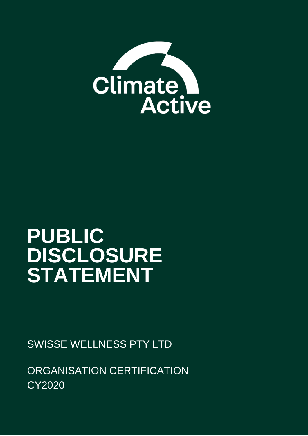

# **PUBLIC DISCLOSURE STATEMENT**

SWISSE WELLNESS PTY LTD

ORGANISATION CERTIFICATION CY2020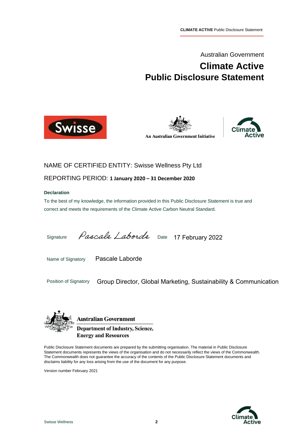Australian Government

# **Climate Active Public Disclosure Statement**







### NAME OF CERTIFIED ENTITY: Swisse Wellness Pty Ltd

REPORTING PERIOD: **1 January 2020 – 31 December 2020**

#### **Declaration**

To the best of my knowledge, the information provided in this Public Disclosure Statement is true and correct and meets the requirements of the Climate Active Carbon Neutral Standard.

Signature *Pascall Laborde* Date 17 February 2022

Name of Signatory

Pascale Laborde

Position of Signatory Group Director, Global Marketing, Sustainability & Communication



**Australian Government Department of Industry, Science, Energy and Resources** 

Public Disclosure Statement documents are prepared by the submitting organisation. The material in Public Disclosure Statement documents represents the views of the organisation and do not necessarily reflect the views of the Commonwealth. The Commonwealth does not guarantee the accuracy of the contents of the Public Disclosure Statement documents and disclaims liability for any loss arising from the use of the document for any purpose.

Version number February 2021

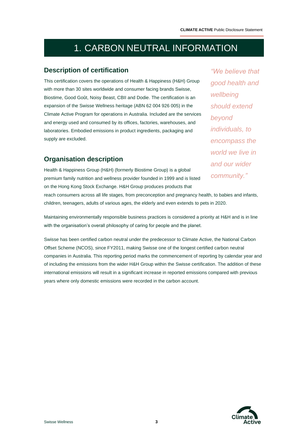# 1. CARBON NEUTRAL INFORMATION

### **Description of certification**

This certification covers the operations of Health & Happiness (H&H) Group with more than 30 sites worldwide and consumer facing brands Swisse, Biostime, Good Goût, Noisy Beast, CBII and Dodie. The certification is an expansion of the Swisse Wellness heritage (ABN 62 004 926 005) in the Climate Active Program for operations in Australia. Included are the services and energy used and consumed by its offices, factories, warehouses, and laboratories. Embodied emissions in product ingredients, packaging and supply are excluded.

## **Organisation description**

Health & Happiness Group (H&H) (formerly Biostime Group) is a global premium family nutrition and wellness provider founded in 1999 and is listed on the Hong Kong Stock Exchange. H&H Group produces products that

*"We believe that good health and wellbeing should extend beyond individuals, to encompass the world we live in and our wider community."*

reach consumers across all life stages, from preconception and pregnancy health, to babies and infants, children, teenagers, adults of various ages, the elderly and even extends to pets in 2020.

Maintaining environmentally responsible business practices is considered a priority at H&H and is in line with the organisation's overall philosophy of caring for people and the planet.

Swisse has been certified carbon neutral under the predecessor to Climate Active, the National Carbon Offset Scheme (NCOS), since FY2011, making Swisse one of the longest certified carbon neutral companies in Australia. This reporting period marks the commencement of reporting by calendar year and of including the emissions from the wider H&H Group within the Swisse certification. The addition of these international emissions will result in a significant increase in reported emissions compared with previous years where only domestic emissions were recorded in the carbon account.

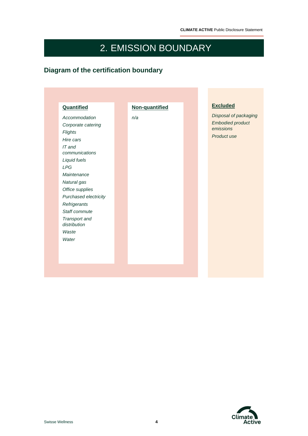# 2. EMISSION BOUNDARY

 $\sim$ 

# **Diagram of the certification boundary**

| Quantified                    | Non-quantified | <b>Excluded</b>         |
|-------------------------------|----------------|-------------------------|
| Accommodation                 | n/a            | Disposal of packaging   |
| Corporate catering            |                | <b>Embodied product</b> |
| <b>Flights</b>                |                | emissions               |
| Hire cars                     |                | Product use             |
| IT and                        |                |                         |
| communications                |                |                         |
| Liquid fuels                  |                |                         |
| <b>LPG</b>                    |                |                         |
| Maintenance                   |                |                         |
| Natural gas                   |                |                         |
| Office supplies               |                |                         |
| Purchased electricity         |                |                         |
| Refrigerants                  |                |                         |
| Staff commute                 |                |                         |
| Transport and<br>distribution |                |                         |
| Waste                         |                |                         |
| Water                         |                |                         |
|                               |                |                         |

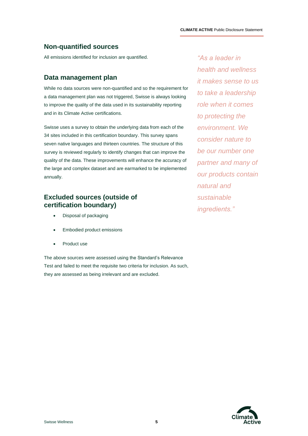### **Non-quantified sources**

All emissions identified for inclusion are quantified.

#### **Data management plan**

While no data sources were non-quantified and so the requirement for a data management plan was not triggered, Swisse is always looking to improve the quality of the data used in its sustainability reporting and in its Climate Active certifications.

Swisse uses a survey to obtain the underlying data from each of the 34 sites included in this certification boundary. This survey spans seven native languages and thirteen countries. The structure of this survey is reviewed regularly to identify changes that can improve the quality of the data. These improvements will enhance the accuracy of the large and complex dataset and are earmarked to be implemented annually.

### **Excluded sources (outside of certification boundary)**

- Disposal of packaging
- Embodied product emissions
- Product use

The above sources were assessed using the Standard's Relevance Test and failed to meet the requisite two criteria for inclusion. As such, they are assessed as being irrelevant and are excluded.

*"As a leader in health and wellness it makes sense to us to take a leadership role when it comes to protecting the environment. We consider nature to be our number one partner and many of our products contain natural and sustainable ingredients."*

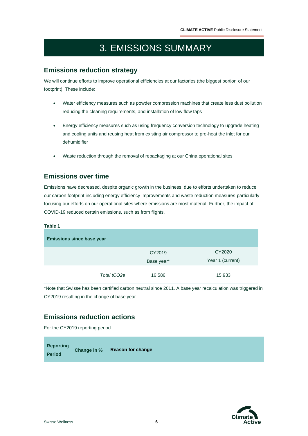# 3. EMISSIONS SUMMARY

### **Emissions reduction strategy**

We will continue efforts to improve operational efficiencies at our factories (the biggest portion of our footprint). These include:

- Water efficiency measures such as powder compression machines that create less dust pollution reducing the cleaning requirements, and installation of low flow taps
- Energy efficiency measures such as using frequency conversion technology to upgrade heating and cooling units and reusing heat from existing air compressor to pre-heat the inlet for our dehumidifier
- Waste reduction through the removal of repackaging at our China operational sites

### **Emissions over time**

Emissions have decreased, despite organic growth in the business, due to efforts undertaken to reduce our carbon footprint including energy efficiency improvements and waste reduction measures particularly focusing our efforts on our operational sites where emissions are most material. Further, the impact of COVID-19 reduced certain emissions, such as from flights.

#### **Table 1**

| <b>Emissions since base year</b> |                      |                            |  |  |  |  |  |
|----------------------------------|----------------------|----------------------------|--|--|--|--|--|
|                                  | CY2019<br>Base year* | CY2020<br>Year 1 (current) |  |  |  |  |  |
| Total tCO2e                      | 16,586               | 15,933                     |  |  |  |  |  |

\*Note that Swisse has been certified carbon neutral since 2011. A base year recalculation was triggered in CY2019 resulting in the change of base year.

## **Emissions reduction actions**

For the CY2019 reporting period

| <b>Reporting</b> | Change in % Reason for change |
|------------------|-------------------------------|
| <b>Period</b>    |                               |

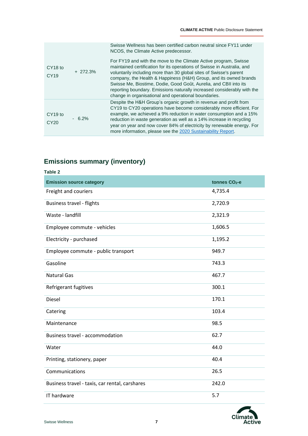| CY <sub>18</sub> to<br>CY19             |           | Swisse Wellness has been certified carbon neutral since FY11 under<br>NCOS, the Climate Active predecessor.                                                                                                                                                                                                                                                                                                                                                                                    |
|-----------------------------------------|-----------|------------------------------------------------------------------------------------------------------------------------------------------------------------------------------------------------------------------------------------------------------------------------------------------------------------------------------------------------------------------------------------------------------------------------------------------------------------------------------------------------|
|                                         | $+272.3%$ | For FY19 and with the move to the Climate Active program, Swisse<br>maintained certification for its operations of Swisse in Australia, and<br>voluntarily including more than 30 global sites of Swisse's parent<br>company, the Health & Happiness (H&H) Group, and its owned brands<br>Swisse Me, Biostime, Dodie, Good Goût, Aurelia, and CBII into its<br>reporting boundary. Emissions naturally increased considerably with the<br>change in organisational and operational boundaries. |
| CY <sub>19</sub> to<br>CY <sub>20</sub> | $-6.2%$   | Despite the H&H Group's organic growth in revenue and profit from<br>CY19 to CY20 operations have become considerably more efficient. For<br>example, we achieved a 9% reduction in water consumption and a 15%<br>reduction in waste generation as well as a 14% increase in recycling<br>year on year and now cover 84% of electricity by renewable energy. For<br>more information, please see the 2020 Sustainability Report.                                                              |

# **Emissions summary (inventory)**

| <b>Table 2</b>                                 |                           |
|------------------------------------------------|---------------------------|
| <b>Emission source category</b>                | tonnes CO <sub>2</sub> -e |
| Freight and couriers                           | 4,735.4                   |
| <b>Business travel - flights</b>               | 2,720.9                   |
| Waste - landfill                               | 2,321.9                   |
| Employee commute - vehicles                    | 1,606.5                   |
| Electricity - purchased                        | 1,195.2                   |
| Employee commute - public transport            | 949.7                     |
| Gasoline                                       | 743.3                     |
| <b>Natural Gas</b>                             | 467.7                     |
| Refrigerant fugitives                          | 300.1                     |
| <b>Diesel</b>                                  | 170.1                     |
| Catering                                       | 103.4                     |
| Maintenance                                    | 98.5                      |
| <b>Business travel - accommodation</b>         | 62.7                      |
| Water                                          | 44.0                      |
| Printing, stationery, paper                    | 40.4                      |
| Communications                                 | 26.5                      |
| Business travel - taxis, car rental, carshares | 242.0                     |
| IT hardware                                    | 5.7                       |

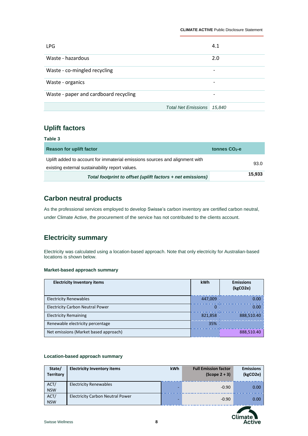| <b>LPG</b>                            |                            | 4.1                      |
|---------------------------------------|----------------------------|--------------------------|
| Waste - hazardous                     |                            | 2.0                      |
| Waste - co-mingled recycling          |                            | -                        |
| Waste - organics                      |                            | -                        |
| Waste - paper and cardboard recycling |                            | $\overline{\phantom{0}}$ |
|                                       | <b>Total Net Emissions</b> | 15.840                   |

### **Uplift factors**

| Table 3                                                                     |                 |
|-----------------------------------------------------------------------------|-----------------|
| <b>Reason for uplift factor</b>                                             | tonnes $CO2$ -e |
| Uplift added to account for immaterial emissions sources and alignment with |                 |
| existing external sustainability report values.                             | 93.0            |
| Total footprint to offset (uplift factors + net emissions)                  | 15,933          |

### **Carbon neutral products**

As the professional services employed to develop Swisse's carbon inventory are certified carbon neutral, under Climate Active, the procurement of the service has not contributed to the clients account.

# **Electricity summary**

Electricity was calculated using a location-based approach. Note that only electricity for Australian-based locations is shown below.

#### **Market-based approach summary**

| <b>Electricity Inventory items</b>      | <b>kWh</b> | <b>Emissions</b><br>(kgCO2e) |
|-----------------------------------------|------------|------------------------------|
| <b>Electricity Renewables</b>           | 447.009    | 0.00                         |
| <b>Electricity Carbon Neutral Power</b> | 0          | 0.00                         |
| <b>Electricity Remaining</b>            | 821.858    | 888,510.40                   |
| Renewable electricity percentage        | 35%        |                              |
| Net emissions (Market based approach)   |            | 888,510.40                   |

#### **Location-based approach summary**

| State/<br><b>Territory</b> | <b>Electricity Inventory items</b>      | <b>kWh</b> | <b>Full Emission factor</b><br>$(Scope 2 + 3)$ | <b>Emissions</b><br>(kgCO2e) |
|----------------------------|-----------------------------------------|------------|------------------------------------------------|------------------------------|
| ACT/<br><b>NSW</b>         | <b>Electricity Renewables</b>           |            | $-0.90$                                        | 0.00                         |
| ACT/<br><b>NSW</b>         | <b>Electricity Carbon Neutral Power</b> |            | $-0.90$                                        | 0.00                         |

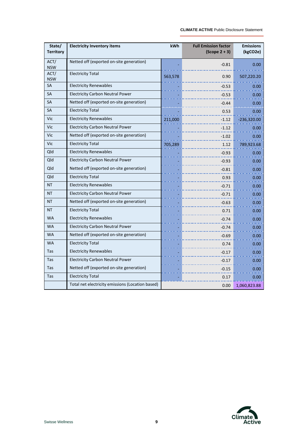÷

| State/<br><b>Territory</b> | <b>Electricity Inventory items</b>               | kWh     | <b>Full Emission factor</b><br>$(Scope 2 + 3)$ | <b>Emissions</b><br>(kgCO2e) |
|----------------------------|--------------------------------------------------|---------|------------------------------------------------|------------------------------|
| ACT/<br><b>NSW</b>         | Netted off (exported on-site generation)         |         | $-0.81$                                        | 0.00                         |
| ACT/<br><b>NSW</b>         | <b>Electricity Total</b>                         | 563,578 | 0.90                                           | 507,220.20                   |
| <b>SA</b>                  | <b>Electricity Renewables</b>                    |         | $-0.53$                                        | 0.00                         |
| <b>SA</b>                  | <b>Electricity Carbon Neutral Power</b>          |         | $-0.53$                                        | 0.00                         |
| <b>SA</b>                  | Netted off (exported on-site generation)         |         | $-0.44$                                        | 0.00                         |
| <b>SA</b>                  | <b>Electricity Total</b>                         |         | 0.53                                           | 0.00                         |
| Vic                        | <b>Electricity Renewables</b>                    | 211,000 | $-1.12$                                        | $-236,320.00$                |
| <b>Vic</b>                 | <b>Electricity Carbon Neutral Power</b>          |         | $-1.12$                                        | 0.00                         |
| Vic                        | Netted off (exported on-site generation)         |         | -1.02                                          | 0.00                         |
| Vic                        | <b>Electricity Total</b>                         | 705,289 | 1.12                                           | 789,923.68                   |
| Qld                        | <b>Electricity Renewables</b>                    |         | $-0.93$                                        | 0.00                         |
| Qld                        | <b>Electricity Carbon Neutral Power</b>          |         | $-0.93$                                        | 0.00                         |
| Qld                        | Netted off (exported on-site generation)         |         | $-0.81$                                        | 0.00                         |
| Qld                        | <b>Electricity Total</b>                         |         | 0.93                                           | 0.00                         |
| <b>NT</b>                  | <b>Electricity Renewables</b>                    |         | $-0.71$                                        | 0.00                         |
| NT                         | <b>Electricity Carbon Neutral Power</b>          |         | $-0.71$                                        | 0.00                         |
| <b>NT</b>                  | Netted off (exported on-site generation)         |         | $-0.63$                                        | 0.00                         |
| <b>NT</b>                  | <b>Electricity Total</b>                         |         | 0.71                                           | 0.00                         |
| <b>WA</b>                  | <b>Electricity Renewables</b>                    |         | $-0.74$                                        | 0.00                         |
| <b>WA</b>                  | <b>Electricity Carbon Neutral Power</b>          |         | $-0.74$                                        | 0.00                         |
| <b>WA</b>                  | Netted off (exported on-site generation)         |         | $-0.69$                                        | 0.00                         |
| <b>WA</b>                  | <b>Electricity Total</b>                         |         | 0.74                                           | 0.00                         |
| Tas                        | <b>Electricity Renewables</b>                    |         | $-0.17$                                        | 0.00                         |
| Tas                        | <b>Electricity Carbon Neutral Power</b>          |         | $-0.17$                                        | 0.00                         |
| Tas                        | Netted off (exported on-site generation)         |         | $-0.15$                                        | 0.00                         |
| Tas                        | <b>Electricity Total</b>                         |         | 0.17                                           | 0.00                         |
|                            | Total net electricity emissions (Location based) |         | 0.00                                           | 1,060,823.88                 |

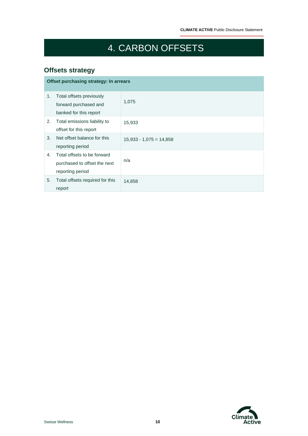# 4. CARBON OFFSETS

 $\overline{a}$ 

# **Offsets strategy**

|    | Offset purchasing strategy: In arrears                                          |                           |  |  |  |  |  |
|----|---------------------------------------------------------------------------------|---------------------------|--|--|--|--|--|
| 1. | Total offsets previously<br>forward purchased and<br>banked for this report     | 1,075                     |  |  |  |  |  |
| 2. | Total emissions liability to<br>offset for this report                          | 15,933                    |  |  |  |  |  |
| 3. | Net offset balance for this<br>reporting period                                 | $15,933 - 1,075 = 14,858$ |  |  |  |  |  |
| 4. | Total offsets to be forward<br>purchased to offset the next<br>reporting period | n/a                       |  |  |  |  |  |
| 5. | Total offsets required for this<br>report                                       | 14,858                    |  |  |  |  |  |

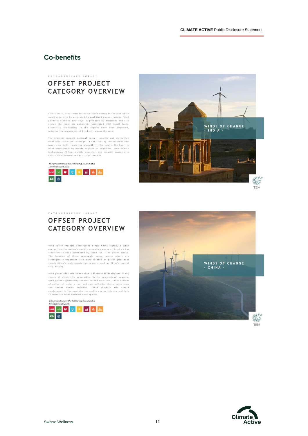### **Co-benefits**

#### EXTRAORDINARY IMPACT **OFFSET PROJECT CATEGORY OVERVIEW**

Across India, wind farms introduce clean energy to the grid which across intan, vina farms interacted by coal-fired pover stations. Vind<br>yould otherwise be generated by coal-fired pover stations. Vind<br>power is clean in two ways: it produces no emissions and also<br>avoids the local air polu

The projects support national energy security and strengthen<br>rural electrification coverage. In constructing the turbines new roads were built, improving accessibility for locals. The boost in<br>local employment by people engaged as engineers, maintenance technicians, 24-hour on-site operators and security guards also<br>boosts local economies and village services.

The projects meet the following Sustainable<br>Development Goals



EXTRAORDINARY IMPACT



### **OFFSET PROJECT CATEGORY OVERVIEW**

Wind Power Projects constructed across China introduce clean Wind Power Projects constructed across China introduce clean<br>conergy into the nation's rapidly expanding power grid, which has<br>traditionally been dominated by fossil fuel-fired power plants.<br>The location of these renewable

Wind power has some of the lowest environmental impacts of any what power has some of the lowest environmental impacts of any<br>source of electricity generation. Unlike conventional sources,<br>wind power significantly reduces carbon emissions, saves billions<br>of gallons of water a year and to stimulate local business development.

The projects meet the following Sustainable<br>Development Goals





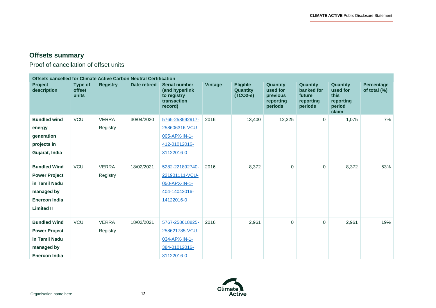$\overline{\phantom{0}}$ 

# **Offsets summary**

Proof of cancellation of offset units

| <b>Offsets cancelled for Climate Active Carbon Neutral Certification</b>                                                |                                          |                          |              |                                                                                   |                |                                                  |                                                                 |                                                                 |                                                                     |                                   |
|-------------------------------------------------------------------------------------------------------------------------|------------------------------------------|--------------------------|--------------|-----------------------------------------------------------------------------------|----------------|--------------------------------------------------|-----------------------------------------------------------------|-----------------------------------------------------------------|---------------------------------------------------------------------|-----------------------------------|
| Project<br>description                                                                                                  | <b>Type of</b><br><b>offset</b><br>units | <b>Registry</b>          | Date retired | <b>Serial number</b><br>(and hyperlink<br>to registry<br>transaction<br>record)   | <b>Vintage</b> | <b>Eligible</b><br><b>Quantity</b><br>$(TCO2-e)$ | <b>Quantity</b><br>used for<br>previous<br>reporting<br>periods | <b>Quantity</b><br>banked for<br>future<br>reporting<br>periods | <b>Quantity</b><br>used for<br>this<br>reporting<br>period<br>claim | <b>Percentage</b><br>of total (%) |
| <b>Bundled wind</b><br>energy<br>generation<br>projects in<br>Gujarat, India                                            | VCU                                      | <b>VERRA</b><br>Registry | 30/04/2020   | 5765-258592917-<br>258606316-VCU-<br>005-APX-IN-1-<br>412-01012016-<br>31122016-0 | 2016           | 13,400                                           | 12,325                                                          | $\mathbf 0$                                                     | 1,075                                                               | 7%                                |
| <b>Bundled Wind</b><br><b>Power Project</b><br>in Tamil Nadu<br>managed by<br><b>Enercon India</b><br><b>Limited II</b> | VCU                                      | <b>VERRA</b><br>Registry | 18/02/2021   | 5282-221892740-<br>221901111-VCU-<br>050-APX-IN-1-<br>404-14042016-<br>14122016-0 | 2016           | 8,372                                            | $\Omega$                                                        | $\mathbf{0}$                                                    | 8,372                                                               | 53%                               |
| <b>Bundled Wind</b><br><b>Power Project</b><br>in Tamil Nadu<br>managed by<br><b>Enercon India</b>                      | VCU                                      | <b>VERRA</b><br>Registry | 18/02/2021   | 5767-258618825-<br>258621785-VCU-<br>034-APX-IN-1-<br>384-01012016-<br>31122016-0 | 2016           | 2,961                                            | $\Omega$                                                        | $\mathbf 0$                                                     | 2,961                                                               | 19%                               |

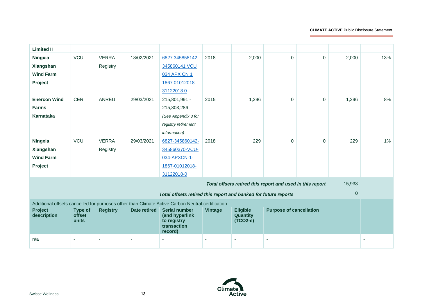÷

| <b>Limited II</b>      |                          |                          |              |                                                                                                  |                |                             |                                                           |             |        |     |
|------------------------|--------------------------|--------------------------|--------------|--------------------------------------------------------------------------------------------------|----------------|-----------------------------|-----------------------------------------------------------|-------------|--------|-----|
| Ningxia                | VCU                      | <b>VERRA</b>             | 18/02/2021   | 6827 345858142                                                                                   | 2018           | 2,000                       | $\Omega$                                                  | $\Omega$    | 2,000  | 13% |
| Xiangshan              |                          | Registry                 |              | 345860141 VCU                                                                                    |                |                             |                                                           |             |        |     |
| <b>Wind Farm</b>       |                          |                          |              | 034 APX CN 1                                                                                     |                |                             |                                                           |             |        |     |
| Project                |                          |                          |              | 1867 01012018                                                                                    |                |                             |                                                           |             |        |     |
|                        |                          |                          |              | 311220180                                                                                        |                |                             |                                                           |             |        |     |
| <b>Enercon Wind</b>    | <b>CER</b>               | ANREU                    | 29/03/2021   | 215,801,991 -                                                                                    | 2015           | 1,296                       | $\Omega$                                                  | $\mathbf 0$ | 1,296  | 8%  |
| Farms                  |                          |                          |              | 215,803,286                                                                                      |                |                             |                                                           |             |        |     |
| Karnataka              |                          |                          |              | (See Appendix 3 for                                                                              |                |                             |                                                           |             |        |     |
|                        |                          |                          |              | registry retirement                                                                              |                |                             |                                                           |             |        |     |
|                        |                          |                          |              | information)                                                                                     |                |                             |                                                           |             |        |     |
| Ningxia                | VCU                      | <b>VERRA</b>             | 29/03/2021   | 6827-345860142-                                                                                  | 2018           | 229                         | $\mathbf{0}$                                              | $\mathbf 0$ | 229    | 1%  |
| Xiangshan              |                          | Registry                 |              | 345860370-VCU-                                                                                   |                |                             |                                                           |             |        |     |
| <b>Wind Farm</b>       |                          |                          |              | 034-APXCN-1-                                                                                     |                |                             |                                                           |             |        |     |
| Project                |                          |                          |              | 1867-01012018-                                                                                   |                |                             |                                                           |             |        |     |
|                        |                          |                          |              | 31122018-0                                                                                       |                |                             |                                                           |             |        |     |
|                        |                          |                          |              |                                                                                                  |                |                             | Total offsets retired this report and used in this report |             | 15,933 |     |
|                        |                          |                          |              | Total offsets retired this report and banked for future reports                                  |                |                             |                                                           |             | 0      |     |
|                        |                          |                          |              | Additional offsets cancelled for purposes other than Climate Active Carbon Neutral certification |                |                             |                                                           |             |        |     |
| Project<br>description | <b>Type of</b><br>offset | <b>Registry</b>          | Date retired | <b>Serial number</b><br>(and hyperlink                                                           | <b>Vintage</b> | <b>Eligible</b><br>Quantity | <b>Purpose of cancellation</b>                            |             |        |     |
|                        | units                    |                          |              | to registry<br>transaction<br>record)                                                            |                | (TCO2-e)                    |                                                           |             |        |     |
| n/a                    | $\sim$                   | $\overline{\phantom{a}}$ |              |                                                                                                  |                |                             |                                                           |             |        |     |

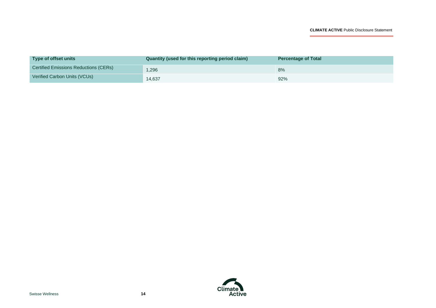÷

| Type of offset units                  | Quantity (used for this reporting period claim) | <b>Percentage of Total</b> |
|---------------------------------------|-------------------------------------------------|----------------------------|
| Certified Emissions Reductions (CERs) | 1,296                                           | 8%                         |
| Verified Carbon Units (VCUs)          | 14,637                                          | 92%                        |

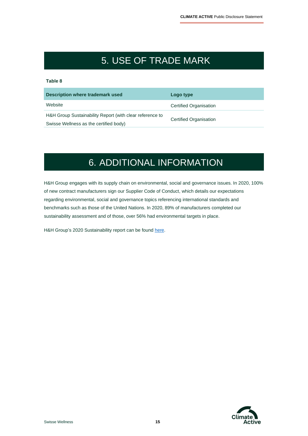# 5. USE OF TRADE MARK

#### **Table 8**

| Description where trademark used                         | Logo type                     |
|----------------------------------------------------------|-------------------------------|
| Website                                                  | <b>Certified Organisation</b> |
| H&H Group Sustainability Report (with clear reference to | <b>Certified Organisation</b> |
| Swisse Wellness as the certified body)                   |                               |

# 6. ADDITIONAL INFORMATION

H&H Group engages with its supply chain on environmental, social and governance issues. In 2020, 100% of new contract manufacturers sign our Supplier Code of Conduct, which details our expectations regarding environmental, social and governance topics referencing international standards and benchmarks such as those of the United Nations. In 2020, 89% of manufacturers completed our sustainability assessment and of those, over 56% had environmental targets in place.

H&H Group's 2020 Sustainability report can be found [here.](https://www1.hkexnews.hk/listedco/listconews/sehk/2021/0408/2021040801450.pdf)

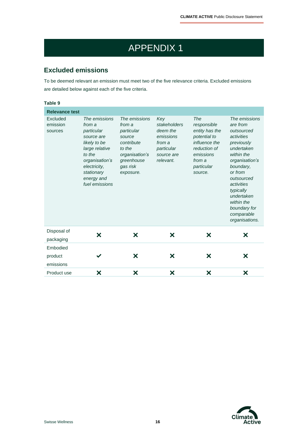# APPENDIX 1

# **Excluded emissions**

To be deemed relevant an emission must meet two of the five relevance criteria. Excluded emissions are detailed below against each of the five criteria.

| Table 9                                                  |                                                                                                                                                                                 |                                                                                                                                  |                                                                                                 |                                                                                                                                       |                                                                                                                                                                                                                                                                |
|----------------------------------------------------------|---------------------------------------------------------------------------------------------------------------------------------------------------------------------------------|----------------------------------------------------------------------------------------------------------------------------------|-------------------------------------------------------------------------------------------------|---------------------------------------------------------------------------------------------------------------------------------------|----------------------------------------------------------------------------------------------------------------------------------------------------------------------------------------------------------------------------------------------------------------|
| <b>Relevance test</b><br>Excluded<br>emission<br>sources | The emissions<br>from a<br>particular<br>source are<br>likely to be<br>large relative<br>to the<br>organisation's<br>electricity,<br>stationary<br>energy and<br>fuel emissions | The emissions<br>from a<br>particular<br>source<br>contribute<br>to the<br>organisation's<br>greenhouse<br>gas risk<br>exposure. | Key<br>stakeholders<br>deem the<br>emissions<br>from a<br>particular<br>source are<br>relevant. | The<br>responsible<br>entity has the<br>potential to<br>influence the<br>reduction of<br>emissions<br>from a<br>particular<br>source. | The emissions<br>are from<br>outsourced<br>activities<br>previously<br>undertaken<br>within the<br>organisation's<br>boundary,<br>or from<br>outsourced<br>activities<br>typically<br>undertaken<br>within the<br>boundary for<br>comparable<br>organisations. |
| Disposal of<br>packaging                                 | X                                                                                                                                                                               | X                                                                                                                                | X                                                                                               | X                                                                                                                                     | X                                                                                                                                                                                                                                                              |
| Embodied                                                 |                                                                                                                                                                                 |                                                                                                                                  |                                                                                                 |                                                                                                                                       |                                                                                                                                                                                                                                                                |
| product<br>emissions                                     |                                                                                                                                                                                 | Х                                                                                                                                | ×                                                                                               | X                                                                                                                                     | Х                                                                                                                                                                                                                                                              |
| Product use                                              | ×                                                                                                                                                                               | ×                                                                                                                                | ×                                                                                               | ×                                                                                                                                     | X                                                                                                                                                                                                                                                              |

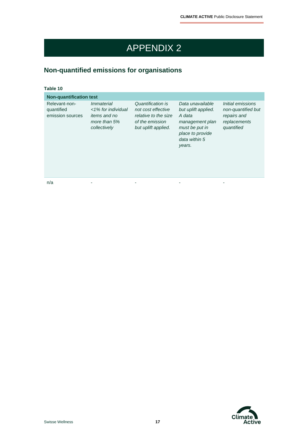# APPENDIX 2

# **Non-quantified emissions for organisations**

#### **Table 10**

| <b>Non-quantification test</b>                  |                                                                                           |                                                                                                           |                                                                                                                                       |                                                                                      |  |  |  |
|-------------------------------------------------|-------------------------------------------------------------------------------------------|-----------------------------------------------------------------------------------------------------------|---------------------------------------------------------------------------------------------------------------------------------------|--------------------------------------------------------------------------------------|--|--|--|
| Relevant-non-<br>quantified<br>emission sources | Immaterial<br><1% for individual<br><i>items and no</i><br>more than $5%$<br>collectively | Quantification is<br>not cost effective<br>relative to the size<br>of the emission<br>but uplift applied. | Data unavailable<br>but uplift applied.<br>A data<br>management plan<br>must be put in<br>place to provide<br>data within 5<br>years. | Initial emissions<br>non-quantified but<br>repairs and<br>replacements<br>quantified |  |  |  |
| n/a                                             |                                                                                           |                                                                                                           |                                                                                                                                       |                                                                                      |  |  |  |

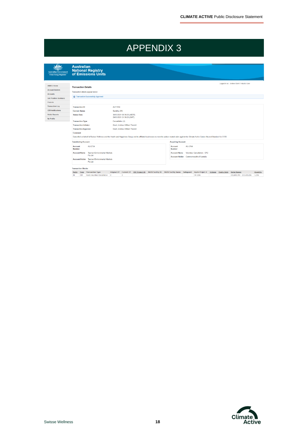# APPENDIX 3

| <b>Australian Government</b><br><b>Clean Energy Regulator</b> | <b>Australian</b><br><b>National Registry<br/>of Emissions Units</b>    |                                                         |                                                                                                                                                                                                       |
|---------------------------------------------------------------|-------------------------------------------------------------------------|---------------------------------------------------------|-------------------------------------------------------------------------------------------------------------------------------------------------------------------------------------------------------|
| <b>ANREU Home</b>                                             | <b>Transaction Details</b>                                              |                                                         | Looged in as: Andrew Grant / Industry User                                                                                                                                                            |
| <b>Account Holders</b>                                        | Transaction details appear below.                                       |                                                         |                                                                                                                                                                                                       |
| <b>Accounts</b><br><b>Unit Position Summary</b>               | <b>C</b> Transaction Successfully Approved                              |                                                         |                                                                                                                                                                                                       |
| <b>Projects</b>                                               |                                                                         |                                                         |                                                                                                                                                                                                       |
| <b>Transaction Log</b>                                        | <b>Transaction ID</b>                                                   | AU17894                                                 |                                                                                                                                                                                                       |
| <b>CER Notifications</b>                                      | <b>Current Status</b>                                                   | Sending (91)                                            |                                                                                                                                                                                                       |
| <b>Public Reports</b>                                         | <b>Status Date</b>                                                      | 30/03/2021 08:39:23 (AEDT)<br>29/03/2021 21:39:23 (GMT) |                                                                                                                                                                                                       |
| My Profile                                                    | <b>Transaction Type</b>                                                 | Cancellation (4)                                        |                                                                                                                                                                                                       |
|                                                               | <b>Transaction Initiator</b>                                            | <b>Grant Andrew William Thorold</b>                     |                                                                                                                                                                                                       |
|                                                               | <b>Transaction Approver</b>                                             | Grant, Andrew William Thorold                           |                                                                                                                                                                                                       |
|                                                               | Comment                                                                 |                                                         | Cancelled on behalf of Swisse Wellness and the Health and Happiness Group and its affiliated businesses to meet its carbon neutral claim against the Climate Active Carbon Neutral Standard for CY20. |
|                                                               | <b>Transferring Account</b>                                             |                                                         | <b>Acquiring Account</b>                                                                                                                                                                              |
|                                                               | AU-2734<br>Account<br><b>Number</b>                                     |                                                         | AU-2764<br>Account<br><b>Number</b>                                                                                                                                                                   |
|                                                               | <b>Tasman Environmental Markets</b><br><b>Account Name</b><br>Pty Ltd   |                                                         | Voluntary Cancellation - CP2<br><b>Account Name</b><br>Account Holder Commonwealth of Australia                                                                                                       |
|                                                               | <b>Tasman Environmental Markets</b><br><b>Account Holder</b><br>Pty Ltd |                                                         |                                                                                                                                                                                                       |

Transaction Blocks<br>Party Type Transaction Type Original CP Current CP EBE Project ID NGER Facility Ito NGER Facility Name Safeguard Kyoto Project # Vintage Expiry.Date Serial.Ranoe<br>IN CER Kyoto Voluntary Cancellation 2 2